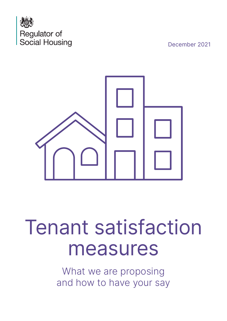

December 2021



# Tenant satisfaction measures

What we are proposing and how to have your say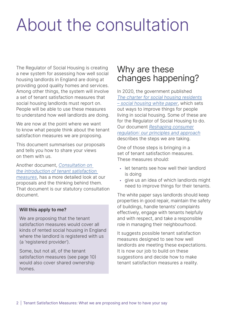# About the consultation

The Regulator of Social Housing is creating a new system for assessing how well social housing landlords in England are doing at providing good quality homes and services. Among other things, the system will involve a set of tenant satisfaction measures that social housing landlords must report on. People will be able to use these measures to understand how well landlords are doing.

We are now at the point where we want to know what people think about the tenant satisfaction measures we are proposing.

This document summarises our proposals and tells you how to share your views on them with us.

Another document, [Consultation on](https://www.gov.uk/government/consultations/consultation-on-the-introduction-of-tenant-satisfaction-measures)  [the introduction of tenant satisfaction](https://www.gov.uk/government/consultations/consultation-on-the-introduction-of-tenant-satisfaction-measures)  [measures,](https://www.gov.uk/government/consultations/consultation-on-the-introduction-of-tenant-satisfaction-measures) has a more detailed look at our proposals and the thinking behind them. That document is our statutory consultation document.

# Will this apply to me?

We are proposing that the tenant satisfaction measures would cover all kinds of rented social housing in England where the landlord is registered with us (a 'registered provider').

Some, but not all, of the tenant satisfaction measures (see page 10) would also cover shared ownership homes.

# Why are these changes happening?

In 2020, the government published The [charter for social housing residents](https://www.gov.uk/government/publications/the-charter-for-social-housing-residents-social-housing-white-paper/the-charter-for-social-housing-residents-social-housing-white-paper#executive-summary) – [social housing white paper](https://www.gov.uk/government/publications/the-charter-for-social-housing-residents-social-housing-white-paper/the-charter-for-social-housing-residents-social-housing-white-paper#executive-summary), which sets out ways to improve things for people living in social housing. Some of these are for the Regulator of Social Housing to do. Our document [Reshaping consumer](https://www.gov.uk/government/publications/reshaping-consumer-regulation-our-principles-and-approach) regulation: [our principles and approach](https://www.gov.uk/government/publications/reshaping-consumer-regulation-our-principles-and-approach) describes the steps we are taking.

One of those steps is bringing in a set of tenant satisfaction measures. These measures should:

- let tenants see how well their landlord is doing
- give us an idea of which landlords might need to improve things for their tenants.

The white paper says landlords should keep properties in good repair, maintain the safety of buildings, handle tenants' complaints effectively, engage with tenants helpfully and with respect, and take a responsible role in managing their neighbourhood.

It suggests possible tenant satisfaction measures designed to see how well landlords are meeting these expectations. It is now our job to build on these suggestions and decide how to make tenant satisfaction measures a reality.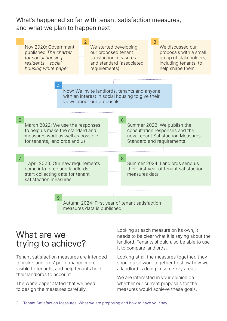What's happened so far with tenant satisfaction measures, and what we plan to happen next



# What are we trying to achieve?

Tenant satisfaction measures are intended to make landlords' performance more visible to tenants, and help tenants hold their landlords to account.

The white paper stated that we need to design the measures carefully.

Looking at each measure on its own, it needs to be clear what it is saying about the landlord. Tenants should also be able to use it to compare landlords.

Looking at all the measures together, they should also work together to show how well a landlord is doing in some key areas.

We are interested in your opinion on whether our current proposals for the measures would achieve these goals.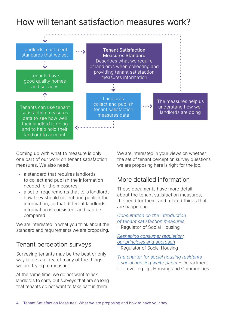# How will tenant satisfaction measures work?



Coming up with what to measure is only one part of our work on tenant satisfaction measures. We also need:

- a standard that requires landlords to collect and publish the information needed for the measures
- a set of requirements that tells landlords how they should collect and publish the information, so that different landlords' information is consistent and can be compared.

We are interested in what you think about the standard and requirements we are proposing.

# Tenant perception surveys

Surveying tenants may be the best or only way to get an idea of many of the things we are trying to measure.

At the same time, we do not want to ask landlords to carry out surveys that are so long that tenants do not want to take part in them.

We are interested in your views on whether the set of tenant perception survey questions we are proposing here is right for the job.

# More detailed information

These documents have more detail about the tenant satisfaction measures, the need for them, and related things that are happening.

[Consultation on the introduction](https://www.gov.uk/government/consultations/consultation-on-the-introduction-of-tenant-satisfaction-measures) of tenant [satisfaction measures](https://www.gov.uk/government/consultations/consultation-on-the-introduction-of-tenant-satisfaction-measures) – Regulator of Social Housing

[Reshaping consumer regulation](https://www.gov.uk/government/publications/reshaping-consumer-regulation-our-principles-and-approach): our [principles and approach](https://www.gov.uk/government/publications/reshaping-consumer-regulation-our-principles-and-approach) – Regulator of Social Housing

[The charter for social housing residents](https://www.gov.uk/government/publications/the-charter-for-social-housing-residents-social-housing-white-paper/the-charter-for-social-housing-residents-social-housing-white-paper#executive-summary) – [social housing white paper](https://www.gov.uk/government/publications/the-charter-for-social-housing-residents-social-housing-white-paper/the-charter-for-social-housing-residents-social-housing-white-paper#executive-summary) – Department for Levelling Up, Housing and Communities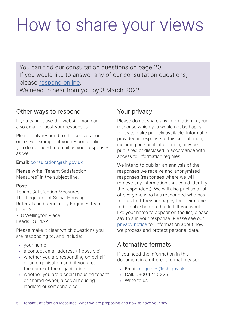# How to share your views

You can find our consultation questions on page 20. If you would like to answer any of our consultation questions, please [respond online.](https://www.gov.uk/government/consultations/consultation-on-the-introduction-of-tenant-satisfaction-measures) We need to hear from you by 3 March 2022.

# Other ways to respond

If you cannot use the website, you can also email or post your responses.

Please only respond to the consultation once. For example, if you respond online, you do not need to email us your responses as well.

# Email: [consultation@rsh.gov.uk](mailto:consultation%40rsh.gov.uk?subject=)

Please write "Tenant Satisfaction Measures" in the subject line.

# Post:

Tenant Satisfaction Measures The Regulator of Social Housing Referrals and Regulatory Enquiries team Level 2 7–8 Wellington Place Leeds LS1 4AP

Please make it clear which questions you are responding to, and include:

- your name
- a contact email address (if possible)
- whether you are responding on behalf of an organisation and, if you are, the name of the organisation
- whether you are a social housing tenant or shared owner, a social housing landlord or someone else.

# Your privacy

Please do not share any information in your response which you would not be happy for us to make publicly available. Information provided in response to this consultation, including personal information, may be published or disclosed in accordance with access to information regimes.

We intend to publish an analysis of the responses we receive and anonymised responses (responses where we will remove any information that could identify the respondent). We will also publish a list of everyone who has responded who has told us that they are happy for their name to be published on that list. If you would like your name to appear on the list, please say this in your response. Please see our [privacy notice](https://www.gov.uk/guidance/regulator-of-social-housing-privacy-notice) for information about how we process and protect personal data.

# Alternative formats

If you need the information in this document in a different format please:

- Email: [enquiries@rsh.gov.uk](mailto:enquiries%40rsh.gov.uk?subject=)
- Call: 0300 124 5225
- Write to us.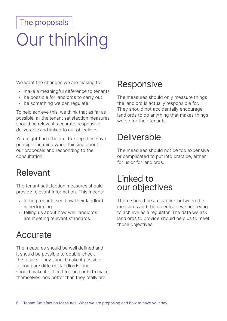# The proposals

# Our thinking

We want the changes we are making to:

- make a meaningful difference to tenants
- be possible for landlords to carry out
- be something we can regulate.

To help achieve this, we think that as far as possible, all the tenant satisfaction measures should be relevant, accurate, responsive, deliverable and linked to our objectives.

You might find it helpful to keep these five principles in mind when thinking about our proposals and responding to the consultation.

# Relevant

The tenant satisfaction measures should provide relevant information. This means:

- letting tenants see how their landlord is performing
- telling us about how well landlords are meeting relevant standards.

# Accurate

The measures should be well defined and it should be possible to double-check the results. They should make it possible to compare different landlords, and should make it difficult for landlords to make themselves look better than they really are.

# **Responsive**

The measures should only measure things the landlord is actually responsible for. They should not accidentally encourage landlords to do anything that makes things worse for their tenants.

# Deliverable

The measures should not be too expensive or complicated to put into practice, either for us or for landlords.

# Linked to our objectives

There should be a clear link between the measures and the objectives we are trying to achieve as a regulator. The data we ask landlords to provide should help us to meet those objectives.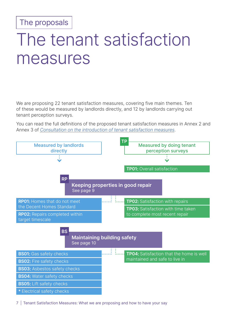The proposals

# The tenant satisfaction measures

We are proposing 22 tenant satisfaction measures, covering five main themes. Ten of these would be measured by landlords directly, and 12 by landlords carrying out tenant perception surveys.

You can read the full definitions of the proposed tenant satisfaction measures in Annex 2 and Annex 3 of [Consultation on the introduction of tenant satisfaction measures.](https://www.gov.uk/government/consultations/consultation-on-the-introduction-of-tenant-satisfaction-measures)



7 | Tenant Satisfaction Measures: What we are proposing and how to have your say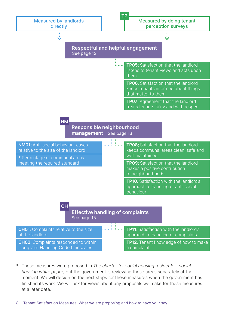

\* These measures were proposed in The charter for social housing residents – social housing white paper, but the government is reviewing these areas separately at the moment. We will decide on the next steps for these measures when the government has finished its work. We will ask for views about any proposals we make for these measures at a later date.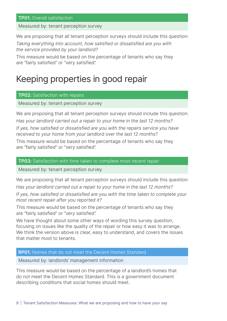# **TP01: Overall satisfaction**

Measured by: tenant perception survey

We are proposing that all tenant perception surveys should include this question:

Taking everything into account, how satisfied or dissatisfied are you with the service provided by your landlord?

This measure would be based on the percentage of tenants who say they are "fairly satisfied" or "very satisfied".

# Keeping properties in good repair

## **TP02: Satisfaction with repairs**

Measured by: tenant perception survey

We are proposing that all tenant perception surveys should include this question: Has your landlord carried out a repair to your home in the last 12 months? If yes, how satisfied or dissatisfied are you with the repairs service you have received to your home from your landlord over the last 12 months?

This measure would be based on the percentage of tenants who say they are "fairly satisfied" or "very satisfied".

## TP03: Satisfaction with time taken to complete most recent repair

Measured by: tenant perception survey

We are proposing that all tenant perception surveys should include this question:

Has your landlord carried out a repair to your home in the last 12 months?

If yes, how satisfied or dissatisfied are you with the time taken to complete your most recent repair after you reported it?

This measure would be based on the percentage of tenants who say they are "fairly satisfied" or "very satisfied".

We have thought about some other ways of wording this survey question, focusing on issues like the quality of the repair or how easy it was to arrange. We think the version above is clear, easy to understand, and covers the issues that matter most to tenants.

## RP01: Homes that do not meet the Decent Homes Standard

Measured by: landlords' management information

This measure would be based on the percentage of a landlord's homes that do not meet the Decent Homes Standard. This is a government document describing conditions that social homes should meet.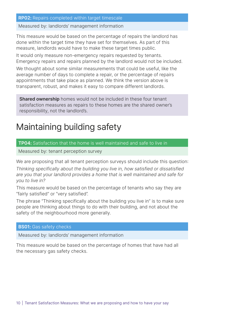## RP02: Repairs completed within target timescale

Measured by: landlords' management information

This measure would be based on the percentage of repairs the landlord has done within the target time they have set for themselves. As part of this measure, landlords would have to make these target times public.

It would only measure non-emergency repairs requested by tenants. Emergency repairs and repairs planned by the landlord would not be included.

We thought about some similar measurements that could be useful, like the average number of days to complete a repair, or the percentage of repairs appointments that take place as planned. We think the version above is transparent, robust, and makes it easy to compare different landlords.

**Shared ownership** homes would not be included in these four tenant satisfaction measures as repairs to these homes are the shared owner's responsibility, not the landlord's.

# Maintaining building safety

## TP04: Satisfaction that the home is well maintained and safe to live in

Measured by: tenant perception survey

We are proposing that all tenant perception surveys should include this question: Thinking specifically about the building you live in, how satisfied or dissatisfied are you that your landlord provides a home that is well maintained and safe for you to live in?

This measure would be based on the percentage of tenants who say they are "fairly satisfied" or "very satisfied".

The phrase "Thinking specifically about the building you live in" is to make sure people are thinking about things to do with their building, and not about the safety of the neighbourhood more generally.

## **BS01:** Gas safety checks

Measured by: landlords' management information

This measure would be based on the percentage of homes that have had all the necessary gas safety checks.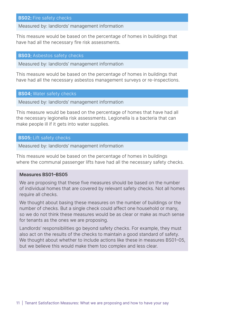#### **BS02: Fire safety checks**

Measured by: landlords' management information

This measure would be based on the percentage of homes in buildings that have had all the necessary fire risk assessments.

#### **BS03: Asbestos safety checks**

Measured by: landlords' management information

This measure would be based on the percentage of homes in buildings that have had all the necessary asbestos management surveys or re-inspections.

#### **BS04: Water safety checks**

Measured by: landlords' management information

This measure would be based on the percentage of homes that have had all the necessary legionella risk assessments. Legionella is a bacteria that can make people ill if it gets into water supplies.

#### **BS05: Lift safety checks**

Measured by: landlords' management information

This measure would be based on the percentage of homes in buildings where the communal passenger lifts have had all the necessary safety checks.

## Measures BS01–BS05

We are proposing that these five measures should be based on the number of individual homes that are covered by relevant safety checks. Not all homes require all checks.

We thought about basing these measures on the number of buildings or the number of checks. But a single check could affect one household or many, so we do not think these measures would be as clear or make as much sense for tenants as the ones we are proposing.

Landlords' responsibilities go beyond safety checks. For example, they must also act on the results of the checks to maintain a good standard of safety. We thought about whether to include actions like these in measures BS01-05, but we believe this would make them too complex and less clear.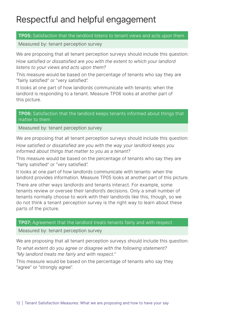# Respectful and helpful engagement

## **TP05:** Satisfaction that the landlord listens to tenant views and acts upon them

Measured by: tenant perception survey

We are proposing that all tenant perception surveys should include this question:

How satisfied or dissatisfied are you with the extent to which your landlord listens to your views and acts upon them?

This measure would be based on the percentage of tenants who say they are "fairly satisfied" or "very satisfied".

It looks at one part of how landlords communicate with tenants: when the landlord is responding to a tenant. Measure TP06 looks at another part of this picture.

# **TP06:** Satisfaction that the landlord keeps tenants informed about things that matter to them

Measured by: tenant perception survey

We are proposing that all tenant perception surveys should include this question:

How satisfied or dissatisfied are you with the way your landlord keeps you informed about things that matter to you as a tenant?

This measure would be based on the percentage of tenants who say they are "fairly satisfied" or "very satisfied".

It looks at one part of how landlords communicate with tenants: when the landlord provides information. Measure TP05 looks at another part of this picture.

There are other ways landlords and tenants interact. For example, some tenants review or oversee their landlord's decisions. Only a small number of tenants normally choose to work with their landlords like this, though, so we do not think a tenant perception survey is the right way to learn about these parts of the picture.

# **TP07:** Agreement that the landlord treats tenants fairly and with respect

Measured by: tenant perception survey

We are proposing that all tenant perception surveys should include this question: To what extent do you agree or disagree with the following statement? "My landlord treats me fairly and with respect."

This measure would be based on the percentage of tenants who say they "agree" or "strongly agree".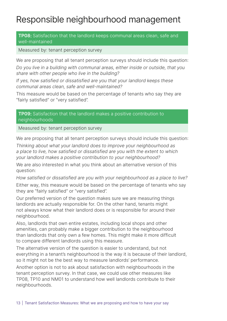# Responsible neighbourhood management

# TP08: Satisfaction that the landlord keeps communal areas clean, safe and well-maintained

# Measured by: tenant perception survey

We are proposing that all tenant perception surveys should include this question: Do you live in a building with communal areas, either inside or outside, that you share with other people who live in the building?

If yes, how satisfied or dissatisfied are you that your landlord keeps these communal areas clean, safe and well-maintained?

This measure would be based on the percentage of tenants who say they are "fairly satisfied" or "very satisfied".

**TP09:** Satisfaction that the landlord makes a positive contribution to neighbourhoods

Measured by: tenant perception survey

We are proposing that all tenant perception surveys should include this question:

Thinking about what your landlord does to improve your neighbourhood as a place to live, how satisfied or dissatisfied are you with the extent to which your landlord makes a positive contribution to your neighbourhood?

We are also interested in what you think about an alternative version of this question:

How satisfied or dissatisfied are you with your neighbourhood as a place to live?

Either way, this measure would be based on the percentage of tenants who say they are "fairly satisfied" or "very satisfied".

Our preferred version of the question makes sure we are measuring things landlords are actually responsible for. On the other hand, tenants might not always know what their landlord does or is responsible for around their neighbourhood.

Also, landlords that own entire estates, including local shops and other amenities, can probably make a bigger contribution to the neighbourhood than landlords that only own a few homes. This might make it more difficult to compare different landlords using this measure.

The alternative version of the question is easier to understand, but not everything in a tenant's neighbourhood is the way it is because of their landlord, so it might not be the best way to measure landlords' performance.

Another option is not to ask about satisfaction with neighbourhoods in the tenant perception survey. In that case, we could use other measures like TP08, TP10 and NM01 to understand how well landlords contribute to their neighbourhoods.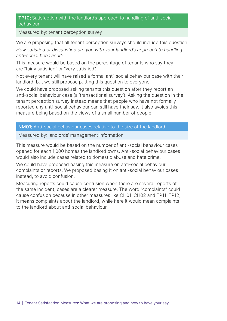# TP10: Satisfaction with the landlord's approach to handling of anti-social behaviour

Measured by: tenant perception survey

We are proposing that all tenant perception surveys should include this question:

How satisfied or dissatisfied are you with your landlord's approach to handling anti-social behaviour?

This measure would be based on the percentage of tenants who say they are "fairly satisfied" or "very satisfied".

Not every tenant will have raised a formal anti-social behaviour case with their landlord, but we still propose putting this question to everyone.

We could have proposed asking tenants this question after they report an anti-social behaviour case (a 'transactional survey'). Asking the question in the tenant perception survey instead means that people who have not formally reported any anti-social behaviour can still have their say. It also avoids this measure being based on the views of a small number of people.

## NM01: Anti-social behaviour cases relative to the size of the landlord

Measured by: landlords' management information

This measure would be based on the number of anti-social behaviour cases opened for each 1,000 homes the landlord owns. Anti-social behaviour cases would also include cases related to domestic abuse and hate crime.

We could have proposed basing this measure on anti-social behaviour complaints or reports. We proposed basing it on anti-social behaviour cases instead, to avoid confusion.

Measuring reports could cause confusion when there are several reports of the same incident; cases are a clearer measure. The word "complaints" could cause confusion because in other measures like CH01–CH02 and TP11–TP12, it means complaints about the landlord, while here it would mean complaints to the landlord about anti-social behaviour.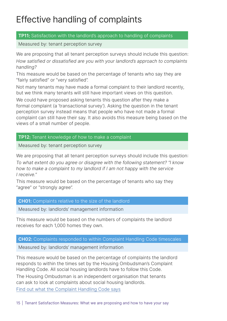# Effective handling of complaints

# TP11: Satisfaction with the landlord's approach to handling of complaints

Measured by: tenant perception survey

We are proposing that all tenant perception surveys should include this question: How satisfied or dissatisfied are you with your landlord's approach to complaints handling?

This measure would be based on the percentage of tenants who say they are "fairly satisfied" or "very satisfied".

Not many tenants may have made a formal complaint to their landlord recently, but we think many tenants will still have important views on this question.

We could have proposed asking tenants this question after they make a formal complaint (a 'transactional survey'). Asking the question in the tenant perception survey instead means that people who have not made a formal complaint can still have their say. It also avoids this measure being based on the views of a small number of people.

# **TP12:** Tenant knowledge of how to make a complaint

Measured by: tenant perception survey

We are proposing that all tenant perception surveys should include this question:

To what extent do you agree or disagree with the following statement? "I know how to make a complaint to my landlord if I am not happy with the service I receive."

This measure would be based on the percentage of tenants who say they "agree" or "strongly agree".

# **CH01:** Complaints relative to the size of the landlord

Measured by: landlords' management information

This measure would be based on the numbers of complaints the landlord receives for each 1,000 homes they own.

# CH02: Complaints responded to within Complaint Handling Code timescales

Measured by: landlords' management information

This measure would be based on the percentage of complaints the landlord responds to within the times set by the Housing Ombudsman's Complaint Handling Code. All social housing landlords have to follow this Code.

The Housing Ombudsman is an independent organisation that tenants can ask to look at complaints about social housing landlords. [Find out what the Complaint Handling Code](https://www.housing-ombudsman.org.uk/landlords-info/complaint-handling-code/) says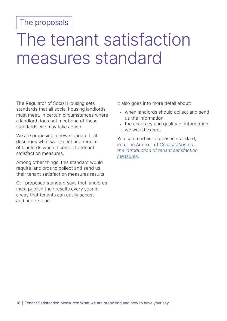# The proposals

# The tenant satisfaction measures standard

The Regulator of Social Housing sets standards that all social housing landlords must meet. In certain circumstances where a landlord does not meet one of these standards, we may take action.

We are proposing a new standard that describes what we expect and require of landlords when it comes to tenant satisfaction measures.

Among other things, this standard would require landlords to collect and send us their tenant satisfaction measures results.

Our proposed standard says that landlords must publish their results every year in a way that tenants can easily access and understand.

It also goes into more detail about:

- when landlords should collect and send us the information
- the accuracy and quality of information we would expect

You can read our proposed standard, in full, in Annex 1 of Consultation on the introduction of tenant satisfaction measures.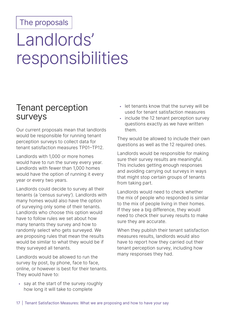# The proposals

# Landlords' responsibilities

# Tenant perception surveys

Our current proposals mean that landlords would be responsible for running tenant perception surveys to collect data for tenant satisfaction measures TP01–TP12.

Landlords with 1,000 or more homes would have to run the survey every year. Landlords with fewer than 1,000 homes would have the option of running it every year or every two years.

Landlords could decide to survey all their tenants (a 'census survey'). Landlords with many homes would also have the option of surveying only some of their tenants. Landlords who choose this option would have to follow rules we set about how many tenants they survey and how to randomly select who gets surveyed. We are proposing rules that mean the results would be similar to what they would be if they surveyed all tenants.

Landlords would be allowed to run the survey by post, by phone, face to face, online, or however is best for their tenants. They would have to:

• say at the start of the survey roughly how long it will take to complete

- let tenants know that the survey will be used for tenant satisfaction measures
- include the 12 tenant perception survey questions exactly as we have written them.

They would be allowed to include their own questions as well as the 12 required ones.

Landlords would be responsible for making sure their survey results are meaningful. This includes getting enough responses and avoiding carrying out surveys in ways that might stop certain groups of tenants from taking part.

Landlords would need to check whether the mix of people who responded is similar to the mix of people living in their homes. If they see a big difference, they would need to check their survey results to make sure they are accurate.

When they publish their tenant satisfaction measures results, landlords would also have to report how they carried out their tenant perception survey, including how many responses they had.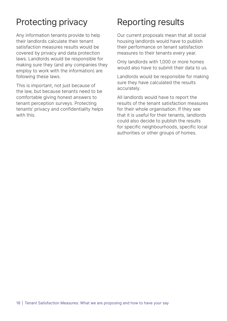# Protecting privacy

Any information tenants provide to help their landlords calculate their tenant satisfaction measures results would be covered by privacy and data protection laws. Landlords would be responsible for making sure they (and any companies they employ to work with the information) are following these laws.

This is important, not just because of the law, but because tenants need to be comfortable giving honest answers to tenant perception surveys. Protecting tenants' privacy and confidentiality helps with this.

# Reporting results

Our current proposals mean that all social housing landlords would have to publish their performance on tenant satisfaction measures to their tenants every year.

Only landlords with 1,000 or more homes would also have to submit their data to us.

Landlords would be responsible for making sure they have calculated the results accurately.

All landlords would have to report the results of the tenant satisfaction measures for their whole organisation. If they see that it is useful for their tenants, landlords could also decide to publish the results for specific neighbourhoods, specific local authorities or other groups of homes.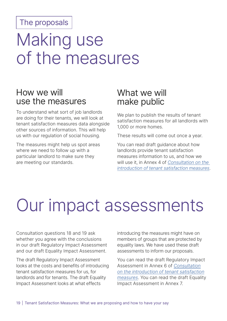# The proposals

# Making use of the measures

# How we will use the measures

To understand what sort of job landlords are doing for their tenants, we will look at tenant satisfaction measures data alongside other sources of information. This will help us with our regulation of social housing.

The measures might help us spot areas where we need to follow up with a particular landlord to make sure they are meeting our standards.

# What we will make public

We plan to publish the results of tenant satisfaction measures for all landlords with 1,000 or more homes.

These results will come out once a year.

You can read draft guidance about how landlords provide tenant satisfaction measures information to us, and how we will use it, in Annex 4 of [Consultation on the](https://www.gov.uk/government/consultations/consultation-on-the-introduction-of-tenant-satisfaction-measures)  [introduction of tenant satisfaction measures](https://www.gov.uk/government/consultations/consultation-on-the-introduction-of-tenant-satisfaction-measures).

# Our impact assessments

Consultation questions 18 and 19 ask whether you agree with the conclusions in our draft Regulatory Impact Assessment and our draft Equality Impact Assessment.

The draft Regulatory Impact Assessment looks at the costs and benefits of introducing tenant satisfaction measures for us, for landlords and for tenants. The draft Equality Impact Assessment looks at what effects

introducing the measures might have on members of groups that are protected by equality laws. We have used these draft assessments to inform our proposals.

You can read the draft Regulatory Impact Assessment in Annex 6 of Consultation on the introduction of tenant satisfaction measures. You can read the draft Equality Impact Assessment in Annex 7.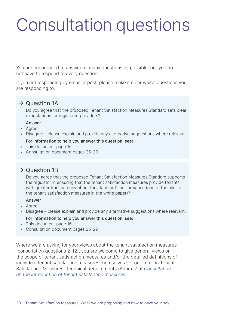# Consultation questions

You are encouraged to answer as many questions as possible, but you do not have to respond to every question.

If you are responding by email or post, please make it clear which questions you are responding to.

# $\rightarrow$  Question 1A

Do you agree that the proposed Tenant Satisfaction Measures Standard sets clear expectations for registered providers?

## Answer

- Agree.
- Disagree please explain and provide any alternative suggestions where relevant.

## For information to help you answer this question, see:

- This document page 16
- Consultation document pages 25–29

# $\rightarrow$  Question 1B

Do you agree that the proposed Tenant Satisfaction Measures Standard supports the regulator in ensuring that the tenant satisfaction measures provide tenants with greater transparency about their landlord's performance (one of the aims of the tenant satisfaction measures in the white paper)?

## Answer

- Agree.
- Disagree please explain and provide any alternative suggestions where relevant. For information to help you answer this question, see:
- This document page 16
- Consultation document pages 25–29

Where we are asking for your views about the tenant satisfaction measures (consultation questions 2–12), you are welcome to give general views on the scope of tenant satisfaction measures and/or the detailed definitions of individual tenant satisfaction measures themselves set out in full in Tenant Satisfaction Measures: Technical Requirements (Annex 2 of [Consultation](https://www.gov.uk/government/consultations/consultation-on-the-introduction-of-tenant-satisfaction-measures) on the [introduction of tenant satisfaction measures\)](https://www.gov.uk/government/consultations/consultation-on-the-introduction-of-tenant-satisfaction-measures).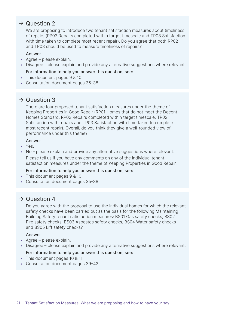We are proposing to introduce two tenant satisfaction measures about timeliness of repairs (RP02 Repairs completed within target timescale and TP03 Satisfaction with time taken to complete most recent repair). Do you agree that both RP02 and TP03 should be used to measure timeliness of repairs?

#### Answer

- Agree please explain.
- Disagree please explain and provide any alternative suggestions where relevant.

#### For information to help you answer this question, see:

- This document pages 9 & 10
- Consultation document pages 35–38

# $\rightarrow$  Question 3

There are four proposed tenant satisfaction measures under the theme of Keeping Properties in Good Repair (RP01 Homes that do not meet the Decent Homes Standard, RP02 Repairs completed within target timescale, TP02 Satisfaction with repairs and TP03 Satisfaction with time taken to complete most recent repair). Overall, do you think they give a well-rounded view of performance under this theme?

#### **Answer**

- Yes.
- No please explain and provide any alternative suggestions where relevant. Please tell us if you have any comments on any of the individual tenant satisfaction measures under the theme of Keeping Properties in Good Repair.

## For information to help you answer this question, see:

- This document pages 9 & 10
- Consultation document pages 35–38

# $\rightarrow$  Question 4

Do you agree with the proposal to use the individual homes for which the relevant safety checks have been carried out as the basis for the following Maintaining Building Safety tenant satisfaction measures: BS01 Gas safety checks, BS02 Fire safety checks, BS03 Asbestos safety checks, BS04 Water safety checks and BS05 Lift safety checks?

## Answer

- Agree please explain.
- Disagree please explain and provide any alternative suggestions where relevant.

- This document pages 10 & 11
- Consultation document pages 39–42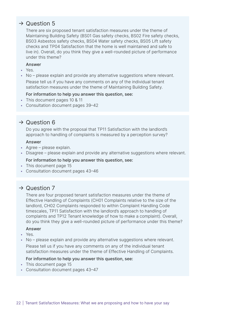There are six proposed tenant satisfaction measures under the theme of Maintaining Building Safety (BS01 Gas safety checks, BS02 Fire safety checks, BS03 Asbestos safety checks, BS04 Water safety checks, BS05 Lift safety checks and TP04 Satisfaction that the home is well maintained and safe to live in). Overall, do you think they give a well-rounded picture of performance under this theme?

#### Answer

- Yes.
- No please explain and provide any alternative suggestions where relevant.

Please tell us if you have any comments on any of the individual tenant satisfaction measures under the theme of Maintaining Building Safety.

#### For information to help you answer this question, see:

- This document pages 10 & 11
- Consultation document pages 39–42

# $\rightarrow$  Question 6

Do you agree with the proposal that TP11 Satisfaction with the landlord's approach to handling of complaints is measured by a perception survey?

#### Answer

- Agree please explain.
- Disagree please explain and provide any alternative suggestions where relevant.

#### For information to help you answer this question, see:

- This document page 15
- Consultation document pages 43–46

# $\rightarrow$  Question 7

There are four proposed tenant satisfaction measures under the theme of Effective Handling of Complaints (CH01 Complaints relative to the size of the landlord, CH02 Complaints responded to within Complaint Handling Code timescales, TP11 Satisfaction with the landlord's approach to handling of complaints and TP12 Tenant knowledge of how to make a complaint). Overall, do you think they give a well-rounded picture of performance under this theme?

## Answer

- Yes.
- No please explain and provide any alternative suggestions where relevant. Please tell us if you have any comments on any of the individual tenant satisfaction measures under the theme of Effective Handling of Complaints.

- This document page 15
- Consultation document pages 43–47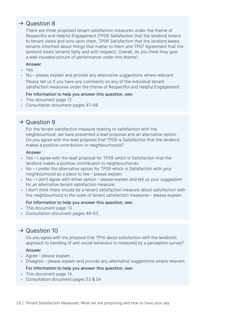There are three proposed tenant satisfaction measures under the theme of Respectful and Helpful Engagement (TP05 Satisfaction that the landlord listens to tenant views and acts upon them, TP06 Satisfaction that the landlord keeps tenants informed about things that matter to them and TP07 Agreement that the landlord treats tenants fairly and with respect). Overall, do you think they give a well-rounded picture of performance under this theme?

#### Answer

- Yes.
- No please explain and provide any alternative suggestions where relevant. Please tell us if you have any comments on any of the individual tenant satisfaction measures under the theme of Respectful and Helpful Engagement.

## For information to help you answer this question, see:

- This document page 12
- Consultation document pages 47–49

# $\rightarrow$  Question 9

For the tenant satisfaction measure relating to satisfaction with the neighbourhood, we have presented a lead proposal and an alternative option. Do you agree with the lead proposal that TP09 is Satisfaction that the landlord makes a positive contribution to neighbourhoods?

#### Answer

- Yes I agree with the lead proposal for TP09 which is Satisfaction that the landlord makes a positive contribution to neighbourhoods.
- No I prefer the alternative option for TP09 which is Satisfaction with your neighbourhood as a place to live – please explain.
- No I don't agree with either option please explain and tell us your suggestion for an alternative tenant satisfaction measure.
- I don't think there should be a tenant satisfaction measure about satisfaction with the neighbourhood in the suite of tenant satisfaction measures – please explain.

## For information to help you answer this question, see:

- This document page 13
- Consultation document pages 49–53

# $\rightarrow$  Question 10

Do you agree with the proposal that TP10 about satisfaction with the landlord's approach to handling of anti-social behaviour is measured by a perception survey?

## Answer

- Agree please explain.
- Disagree please explain and provide any alternative suggestions where relevant.

- This document page 14
- Consultation document pages 53 & 54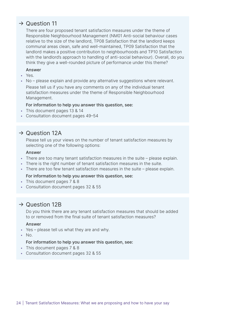There are four proposed tenant satisfaction measures under the theme of Responsible Neighbourhood Management (NM01 Anti-social behaviour cases relative to the size of the landlord, TP08 Satisfaction that the landlord keeps communal areas clean, safe and well-maintained, TP09 Satisfaction that the landlord makes a positive contribution to neighbourhoods and TP10 Satisfaction with the landlord's approach to handling of anti-social behaviour). Overall, do you think they give a well-rounded picture of performance under this theme?

#### Answer

- Yes.
- No please explain and provide any alternative suggestions where relevant. Please tell us if you have any comments on any of the individual tenant satisfaction measures under the theme of Responsible Neighbourhood Management.

## For information to help you answer this question, see:

- This document pages 13 & 14
- Consultation document pages 49–54

# $\rightarrow$  Question 12A

Please tell us your views on the number of tenant satisfaction measures by selecting one of the following options:

#### Answer

- There are too many tenant satisfaction measures in the suite please explain.
- There is the right number of tenant satisfaction measures in the suite.
- There are too few tenant satisfaction measures in the suite please explain.

## For information to help you answer this question, see:

- This document pages 7 & 8
- Consultation document pages 32 & 55

# $\rightarrow$  Question 12B

Do you think there are any tenant satisfaction measures that should be added to or removed from the final suite of tenant satisfaction measures?

#### Answer

- Yes please tell us what they are and why.
- No.

- This document pages 7 & 8
- Consultation document pages 32 & 55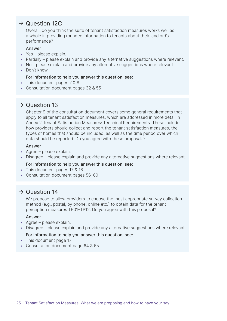Overall, do you think the suite of tenant satisfaction measures works well as a whole in providing rounded information to tenants about their landlord's performance?

#### Answer

- Yes please explain.
- Partially please explain and provide any alternative suggestions where relevant.
- No please explain and provide any alternative suggestions where relevant.
- Don't know.

#### For information to help you answer this question, see:

- This document pages 7 & 8
- Consultation document pages 32 & 55

# $\rightarrow$  Question 13

Chapter 9 of the consultation document covers some general requirements that apply to all tenant satisfaction measures, which are addressed in more detail in Annex 2 Tenant Satisfaction Measures: Technical Requirements. These include how providers should collect and report the tenant satisfaction measures, the types of homes that should be included, as well as the time period over which data should be reported. Do you agree with these proposals?

#### Answer

- Agree please explain.
- Disagree please explain and provide any alternative suggestions where relevant. For information to help you answer this question, see:
- This document pages 17 & 18
- Consultation document pages 56–60

# $\rightarrow$  Question 14

We propose to allow providers to choose the most appropriate survey collection method (e.g., postal, by phone, online etc.) to obtain data for the tenant perception measures TP01–TP12. Do you agree with this proposal?

#### Answer

- Agree please explain.
- Disagree please explain and provide any alternative suggestions where relevant.

- This document page 17
- Consultation document page 64 & 65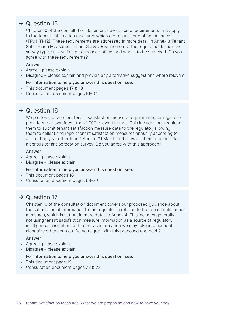Chapter 10 of the consultation document covers some requirements that apply to the tenant satisfaction measures which are tenant perception measures (TP01–TP12). These requirements are addressed in more detail in Annex 3 Tenant Satisfaction Measures: Tenant Survey Requirements. The requirements include survey type, survey timing, response options and who is to be surveyed. Do you agree with these requirements?

#### Answer

- Agree please explain.
- Disagree please explain and provide any alternative suggestions where relevant.

#### For information to help you answer this question, see:

- This document pages 17 & 18
- Consultation document pages 61–67

# $\rightarrow$  Question 16

We propose to tailor our tenant satisfaction measure requirements for registered providers that own fewer than 1,000 relevant homes. This includes not requiring them to submit tenant satisfaction measure data to the regulator, allowing them to collect and report tenant satisfaction measures annually according to a reporting year other than 1 April to 31 March and allowing them to undertake a census tenant perception survey. Do you agree with this approach?

## Answer

- Agree please explain.
- Disagree please explain.

## For information to help you answer this question, see:

- This document pages 18
- Consultation document pages 68–70

# $\rightarrow$  Question 17

Chapter 13 of the consultation document covers our proposed guidance about the submission of information to the regulator in relation to the tenant satisfaction measures, which is set out in more detail in Annex 4. This includes generally not using tenant satisfaction measure information as a source of regulatory intelligence in isolation, but rather as information we may take into account alongside other sources. Do you agree with this proposed approach?

## Answer

- Agree please explain.
- Disagree please explain.

- This document page 19
- Consultation document pages 72 & 73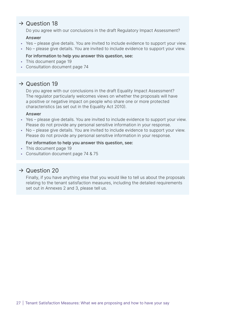Do you agree with our conclusions in the draft Regulatory Impact Assessment?

#### Answer

- Yes please give details. You are invited to include evidence to support your view.
- No please give details. You are invited to include evidence to support your view.

#### For information to help you answer this question, see:

- This document page 19
- Consultation document page 74

# $\rightarrow$  Question 19

Do you agree with our conclusions in the draft Equality Impact Assessment? The regulator particularly welcomes views on whether the proposals will have a positive or negative impact on people who share one or more protected characteristics (as set out in the Equality Act 2010).

#### Answer

- Yes please give details. You are invited to include evidence to support your view. Please do not provide any personal sensitive information in your response.
- No please give details. You are invited to include evidence to support your view. Please do not provide any personal sensitive information in your response.

#### For information to help you answer this question, see:

- This document page 19
- Consultation document page 74 & 75

# $\rightarrow$  Question 20

Finally, if you have anything else that you would like to tell us about the proposals relating to the tenant satisfaction measures, including the detailed requirements set out in Annexes 2 and 3, please tell us.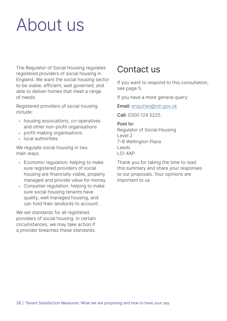# About us

The Regulator of Social Housing regulates registered providers of social housing in England. We want the social housing sector to be viable, efficient, well governed, and able to deliver homes that meet a range of needs.

Registered providers of social housing include:

- housing associations, co-operatives and other non-profit organisations
- profit-making organisations
- local authorities.

We regulate social housing in two main ways.

- Economic regulation: helping to make sure registered providers of social housing are financially viable, properly managed and provide value for money.
- Consumer regulation: helping to make sure social housing tenants have quality, well managed housing, and can hold their landlords to account.

We set standards for all registered providers of social housing. In certain circumstances, we may take action if a provider breaches these standards.

# Contact us

If you want to respond to this consultation, see page 5.

If you have a more general query:

Email: [enquiries@rsh.gov.uk](mailto:enquiries%40rsh.gov.uk?subject=)

Call: 0300 124 5225

# Post to:

Regulator of Social Housing Level 2 7–8 Wellington Place Leeds LS1 4AP

Thank you for taking the time to read this summary and share your responses to our proposals. Your opinions are important to us.